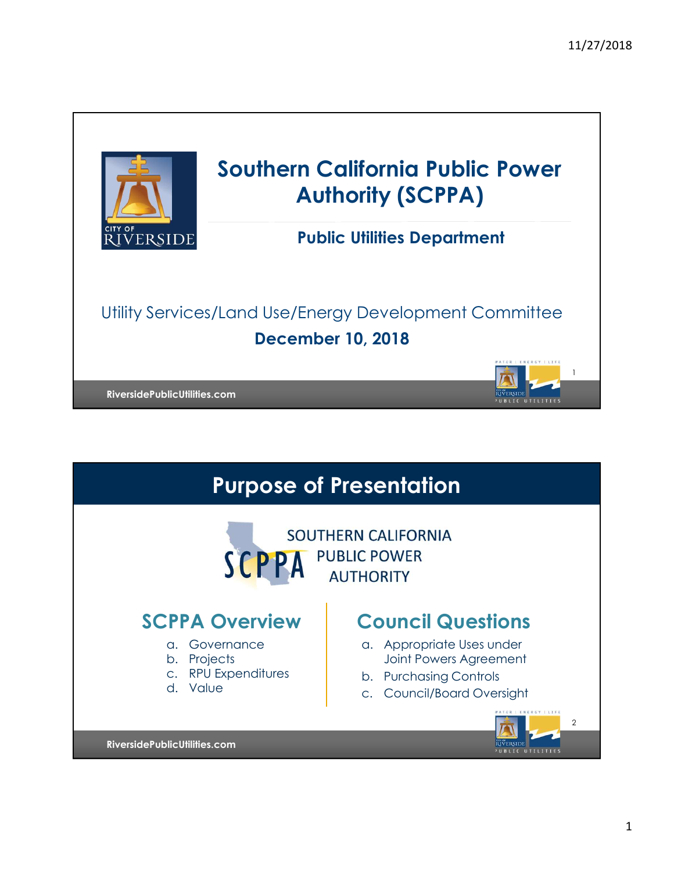

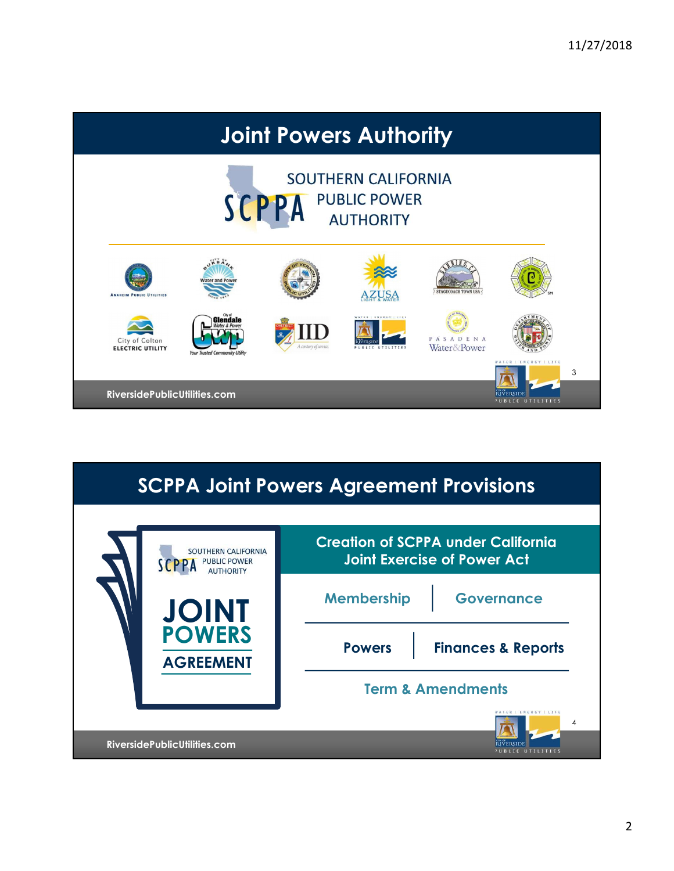

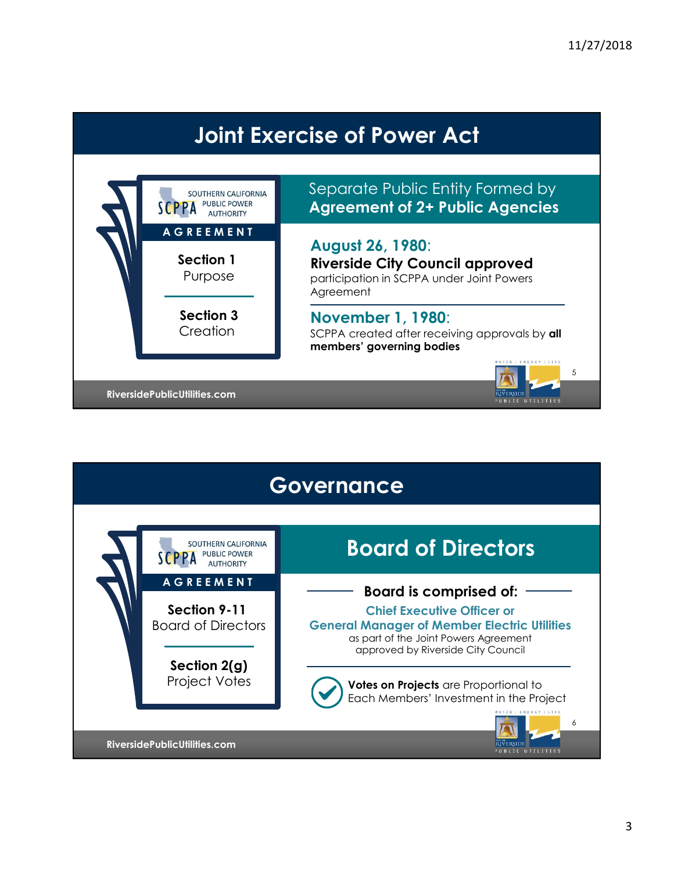# Joint Exercise of Power Act



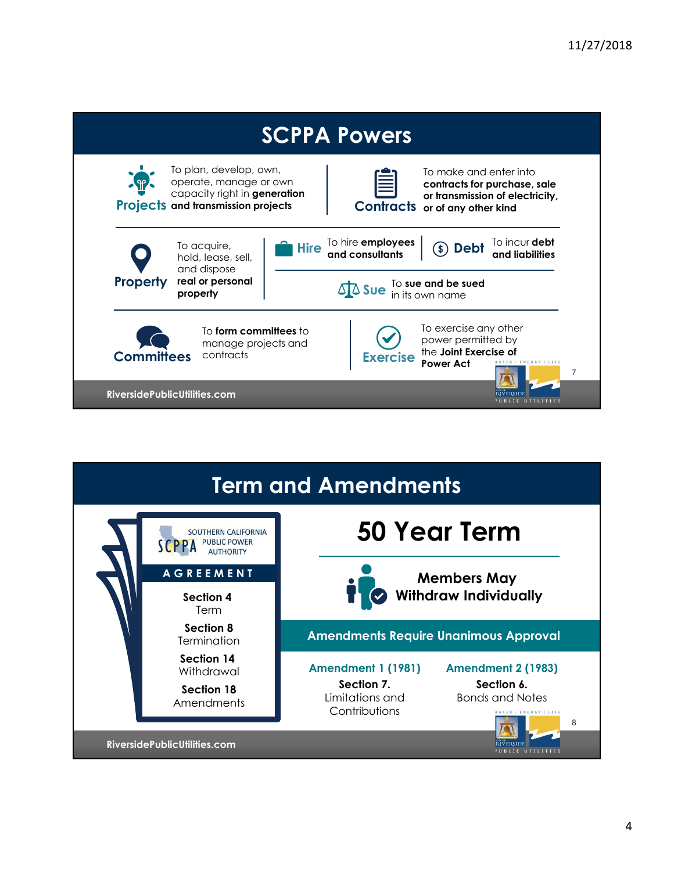



4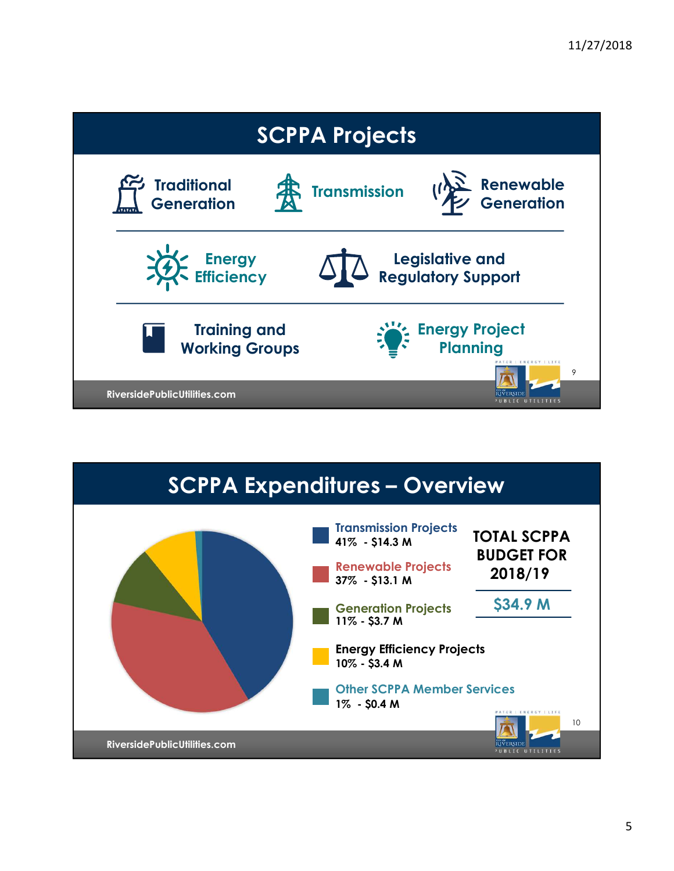

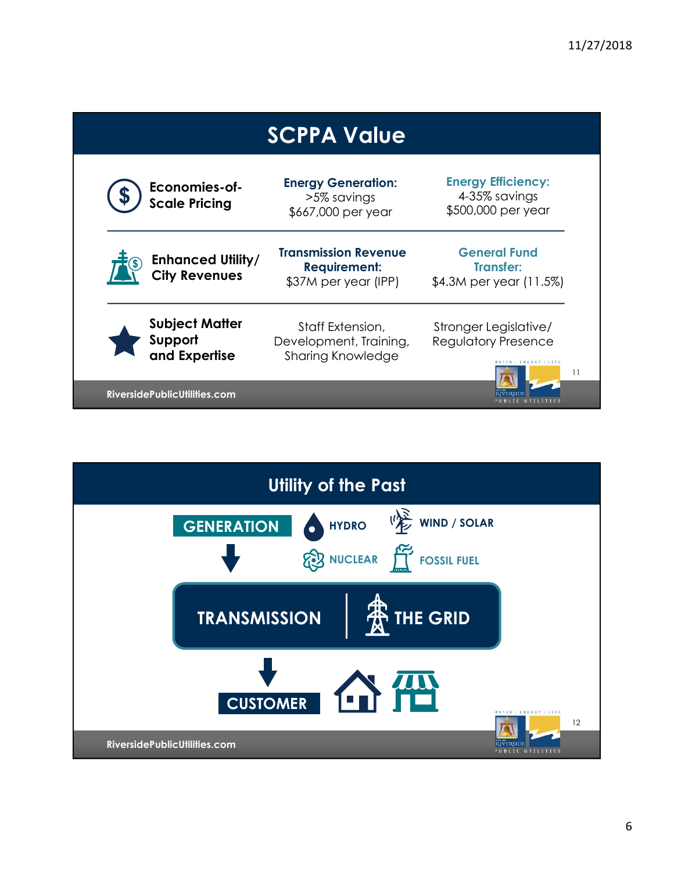|                              | <b>SCPPA Value</b> |                                                   |                                                                            |                                                                             |    |
|------------------------------|--------------------|---------------------------------------------------|----------------------------------------------------------------------------|-----------------------------------------------------------------------------|----|
|                              |                    | Economies-of-<br><b>Scale Pricing</b>             | <b>Energy Generation:</b><br>>5% savings<br>\$667,000 per year             | <b>Energy Efficiency:</b><br>4-35% savings<br>\$500,000 per year            |    |
|                              |                    | <b>Enhanced Utility/</b><br><b>City Revenues</b>  | <b>Transmission Revenue</b><br><b>Requirement:</b><br>\$37M per year (IPP) | <b>General Fund</b><br><b>Transfer:</b><br>\$4.3M per year (11.5%)          |    |
|                              |                    | <b>Subject Matter</b><br>Support<br>and Expertise | Staff Extension,<br>Development, Training,<br><b>Sharing Knowledge</b>     | Stronger Legislative/<br><b>Regulatory Presence</b><br>ATFR   FNFRGY   LIFF | 11 |
| RiversidePublicUtilities.com |                    |                                                   |                                                                            |                                                                             |    |

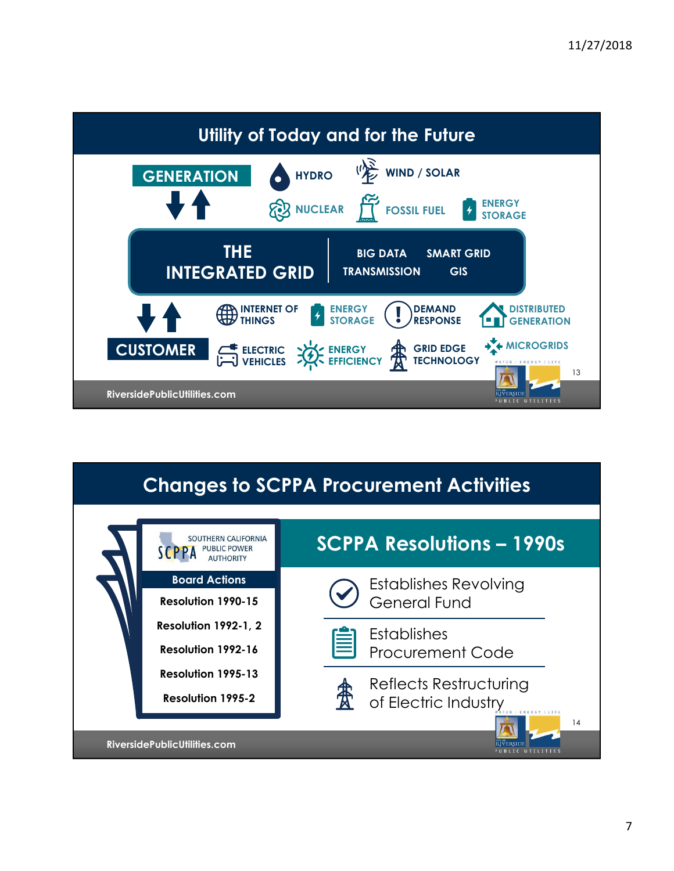

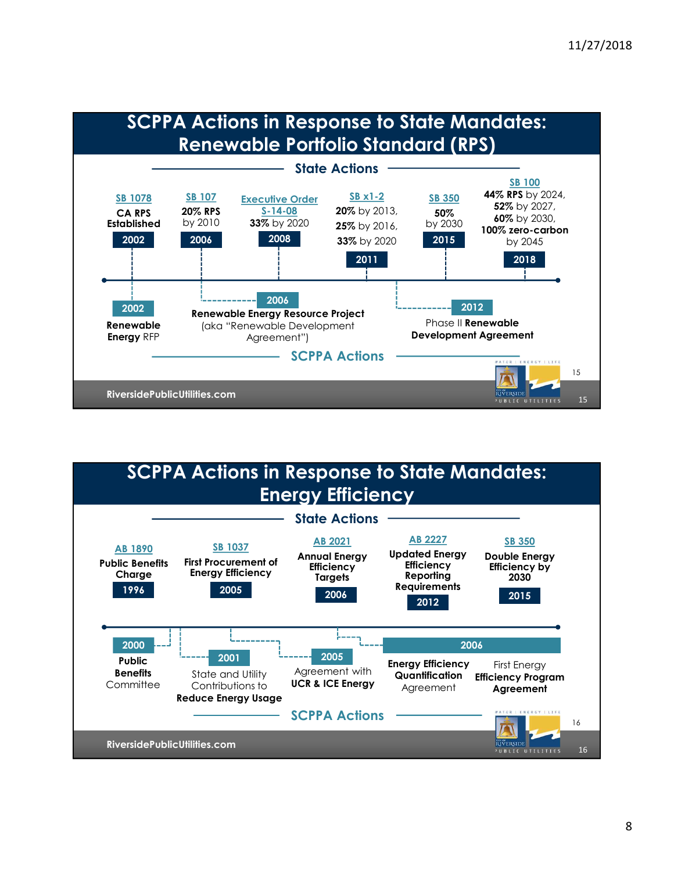

#### **RiversidePublicUtilities.com** 16 AB 1890 SB 1037 AD 2021 Public Benefits First Procurement of Filipiancy Charge Energy Efficiency Enterchicy Reporting AB 2021 Annual Energy Updated Energy<br>Fificiency Efficiency **Efficiency** Targets Reporting AB 2227 Updated Energy Efficiency Efficiency by Requirements 2015 SB 350 Double Energy 2030 16 Public ------ 2001 **Benefits** State and Utility Agreement wit Committee Contributions to **UCR & ICE Energy** Reduce Energy Usage Agreement with **Quantification** UCR & ICE Energy Agreement 2001 **Enterprise 2005 Energy Efficiency** First Energy Quantification Efficiency Program Agreement **Agreement** First Energy State Actions 1996 2005 2006 2006 2006 2006 2015 <sup>2012</sup> <sup>2015</sup> SCPPA Actions 2000 2006 SCPPA Actions in Response to State Mandates: Energy Efficiency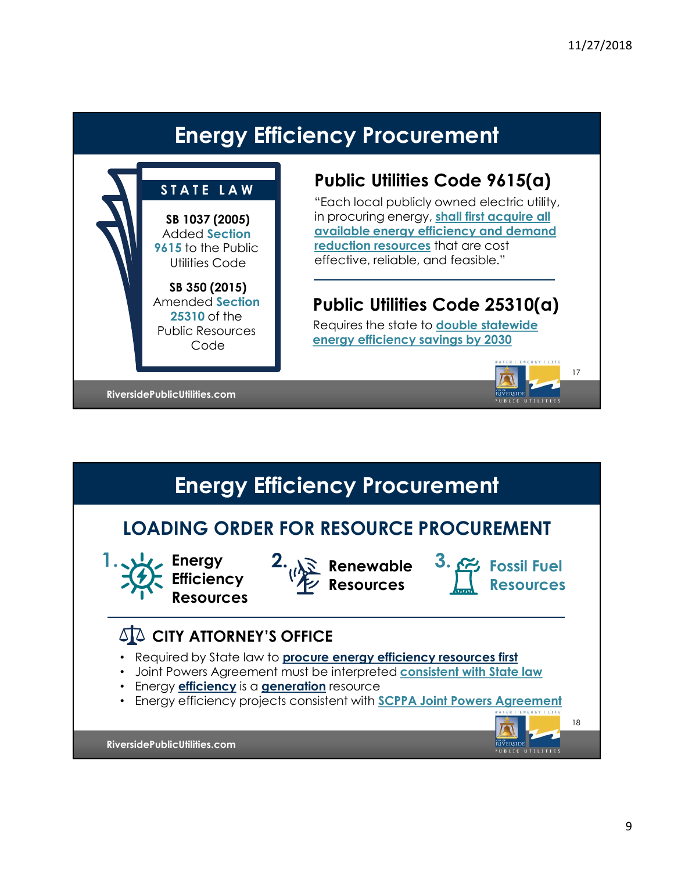## Energy Efficiency Procurement



### Public Utilities Code 9615(a)

Energy Efficiency Procurement<br>
STATE LAW<br>
STATE LAW<br>
SE 1037 (2005)<br>
Noted Section<br>
Maded Section<br>
SE 1037 (2005)<br>
Added Section<br>
SE 105 to the Public<br>
Function responses that are cost<br>
Function responses that are cost<br>
Fu Utilities Code effective, reliable, and feasible." "Each local publicly owned electric utility, in procuring energy, shall first acquire all available energy efficiency and demand reduction resources that are cost

## Amended Section **Public Utilities Code 25310(a)**

energy efficiency savings by 2030<br>Code Requires the state to double statewide



RiversidePublicUtilities.com **Committee Committee Committee Committee Committee Committee Committee Committee** 

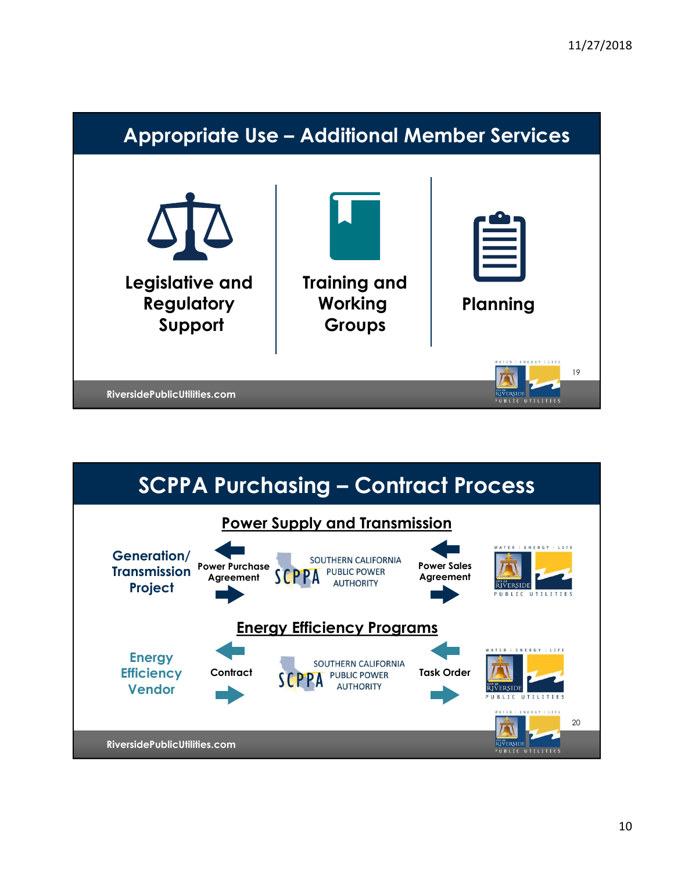